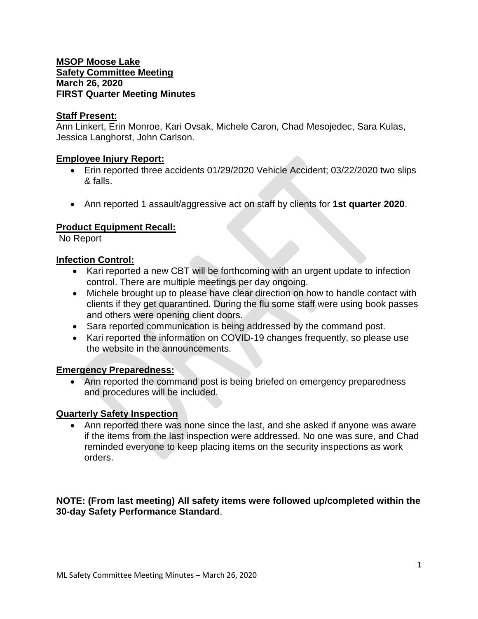#### **MSOP Moose Lake Safety Committee Meeting March 26, 2020 FIRST Quarter Meeting Minutes**

#### **Staff Present:**

Ann Linkert, Erin Monroe, Kari Ovsak, Michele Caron, Chad Mesojedec, Sara Kulas, Jessica Langhorst, John Carlson.

#### **Employee Injury Report:**

- Erin reported three accidents 01/29/2020 Vehicle Accident; 03/22/2020 two slips & falls.
- Ann reported 1 assault/aggressive act on staff by clients for **1st quarter 2020**.

## **Product Equipment Recall:**

No Report

## **Infection Control:**

- Kari reported a new CBT will be forthcoming with an urgent update to infection control. There are multiple meetings per day ongoing.
- Michele brought up to please have clear direction on how to handle contact with clients if they get quarantined. During the flu some staff were using book passes and others were opening client doors.
- Sara reported communication is being addressed by the command post.
- Kari reported the information on COVID-19 changes frequently, so please use the website in the announcements.

## **Emergency Preparedness:**

• Ann reported the command post is being briefed on emergency preparedness and procedures will be included.

#### **Quarterly Safety Inspection**

 Ann reported there was none since the last, and she asked if anyone was aware if the items from the last inspection were addressed. No one was sure, and Chad reminded everyone to keep placing items on the security inspections as work orders.

## **NOTE: (From last meeting) All safety items were followed up/completed within the 30-day Safety Performance Standard**.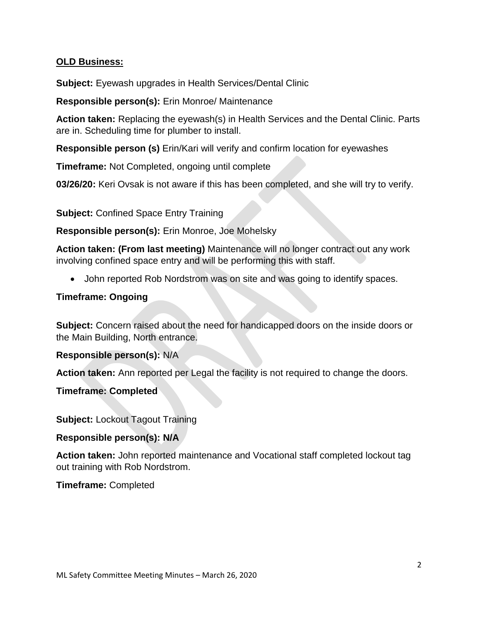# **OLD Business:**

**Subject:** Eyewash upgrades in Health Services/Dental Clinic

**Responsible person(s):** Erin Monroe/ Maintenance

**Action taken:** Replacing the eyewash(s) in Health Services and the Dental Clinic. Parts are in. Scheduling time for plumber to install.

**Responsible person (s)** Erin/Kari will verify and confirm location for eyewashes

**Timeframe:** Not Completed, ongoing until complete

**03/26/20:** Keri Ovsak is not aware if this has been completed, and she will try to verify.

**Subject:** Confined Space Entry Training

**Responsible person(s):** Erin Monroe, Joe Mohelsky

**Action taken: (From last meeting)** Maintenance will no longer contract out any work involving confined space entry and will be performing this with staff.

John reported Rob Nordstrom was on site and was going to identify spaces.

## **Timeframe: Ongoing**

**Subject:** Concern raised about the need for handicapped doors on the inside doors or the Main Building, North entrance.

**Responsible person(s):** N/A

**Action taken:** Ann reported per Legal the facility is not required to change the doors.

**Timeframe: Completed**

**Subject: Lockout Tagout Training** 

## **Responsible person(s): N/A**

**Action taken:** John reported maintenance and Vocational staff completed lockout tag out training with Rob Nordstrom.

**Timeframe:** Completed